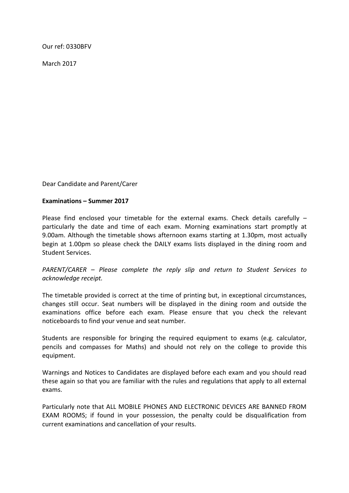Our ref: 0330BFV

March 2017

Dear Candidate and Parent/Carer

## **Examinations – Summer 2017**

Please find enclosed your timetable for the external exams. Check details carefully  $$ particularly the date and time of each exam. Morning examinations start promptly at 9.00am. Although the timetable shows afternoon exams starting at 1.30pm, most actually begin at 1.00pm so please check the DAILY exams lists displayed in the dining room and Student Services.

*PARENT/CARER – Please complete the reply slip and return to Student Services to acknowledge receipt.*

The timetable provided is correct at the time of printing but, in exceptional circumstances, changes still occur. Seat numbers will be displayed in the dining room and outside the examinations office before each exam. Please ensure that you check the relevant noticeboards to find your venue and seat number.

Students are responsible for bringing the required equipment to exams (e.g. calculator, pencils and compasses for Maths) and should not rely on the college to provide this equipment.

Warnings and Notices to Candidates are displayed before each exam and you should read these again so that you are familiar with the rules and regulations that apply to all external exams.

Particularly note that ALL MOBILE PHONES AND ELECTRONIC DEVICES ARE BANNED FROM EXAM ROOMS; if found in your possession, the penalty could be disqualification from current examinations and cancellation of your results.